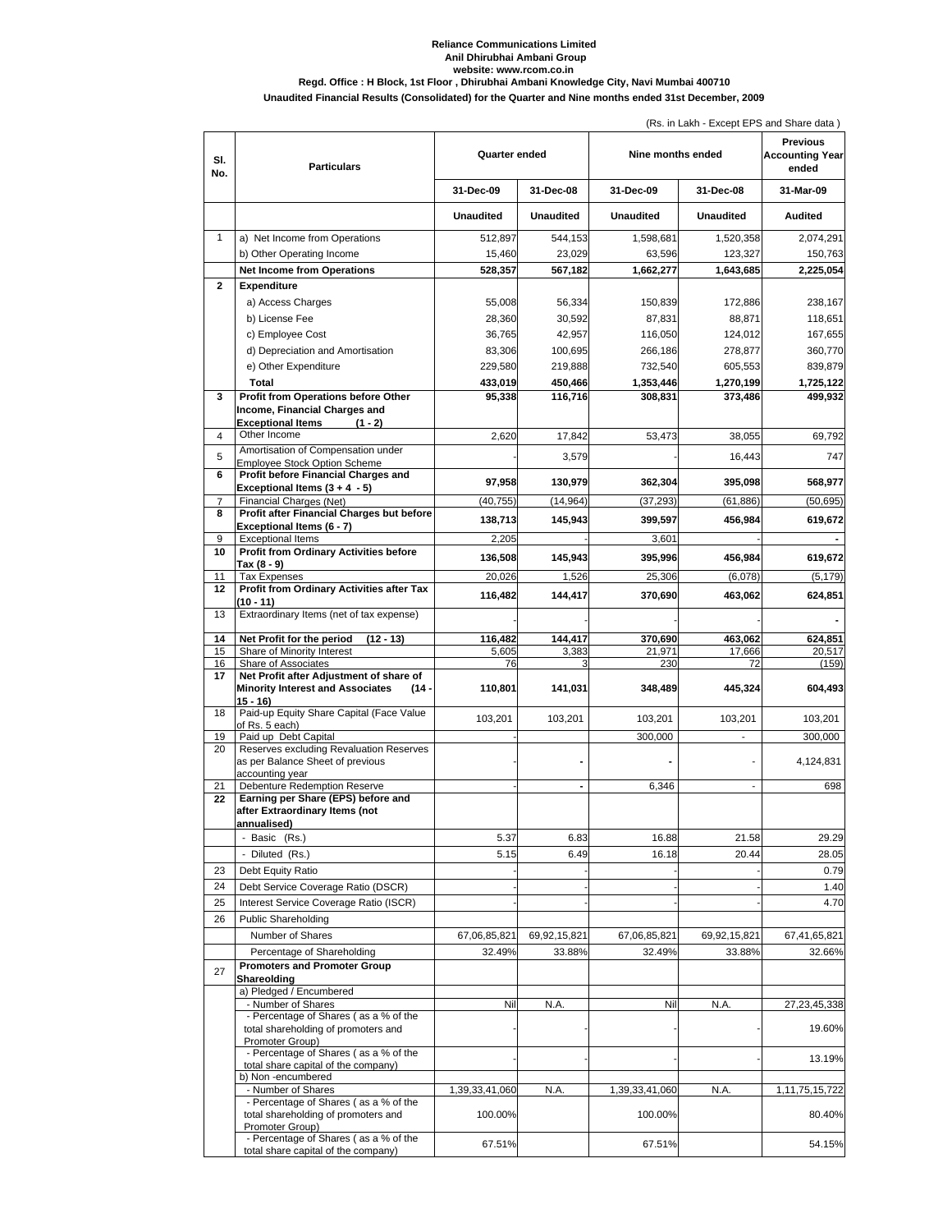## **Reliance Communications Limited Anil Dhirubhai Ambani Group website: www.rcom.co.in Regd. Office : H Block, 1st Floor , Dhirubhai Ambani Knowledge City, Navi Mumbai 400710**

## **Unaudited Financial Results (Consolidated) for the Quarter and Nine months ended 31st December, 2009**

|              |                                                                                                            | (Rs. in Lakh - Except EPS and Share data) |                   |                    |                    |                                                    |  |
|--------------|------------------------------------------------------------------------------------------------------------|-------------------------------------------|-------------------|--------------------|--------------------|----------------------------------------------------|--|
| SI.<br>No.   | <b>Particulars</b>                                                                                         | Quarter ended                             |                   | Nine months ended  |                    | <b>Previous</b><br><b>Accounting Year</b><br>ended |  |
|              |                                                                                                            | 31-Dec-09                                 | 31-Dec-08         | 31-Dec-09          | 31-Dec-08          | 31-Mar-09                                          |  |
|              |                                                                                                            | <b>Unaudited</b>                          | <b>Unaudited</b>  | <b>Unaudited</b>   | Unaudited          | Audited                                            |  |
| 1            | a) Net Income from Operations                                                                              | 512,897                                   | 544,153           | 1,598,681          | 1,520,358          | 2,074,291                                          |  |
|              | b) Other Operating Income                                                                                  | 15,460                                    | 23,029            | 63,596             | 123,327            | 150,763                                            |  |
|              | <b>Net Income from Operations</b>                                                                          | 528,357                                   | 567,182           | 1,662,277          | 1,643,685          | 2,225,054                                          |  |
| $\mathbf{2}$ | <b>Expenditure</b>                                                                                         |                                           |                   |                    |                    |                                                    |  |
|              | a) Access Charges                                                                                          | 55,008                                    | 56,334            | 150,839            | 172,886            | 238,167                                            |  |
|              | b) License Fee                                                                                             | 28,360                                    | 30.592            | 87,831             | 88.871             | 118,651                                            |  |
|              | c) Employee Cost<br>d) Depreciation and Amortisation                                                       | 36,765<br>83,306                          | 42,957<br>100,695 | 116,050<br>266,186 | 124,012<br>278,877 | 167,655<br>360,770                                 |  |
|              | e) Other Expenditure                                                                                       | 229,580                                   | 219,888           | 732,540            | 605,553            | 839,879                                            |  |
|              | Total                                                                                                      | 433,019                                   | 450,466           | 1,353,446          | 1,270,199          | 1,725,122                                          |  |
| 3            | Profit from Operations before Other                                                                        | 95,338                                    | 116,716           | 308,831            | 373,486            | 499,932                                            |  |
|              | Income, Financial Charges and<br><b>Exceptional Items</b><br>$(1 - 2)$                                     |                                           |                   |                    |                    |                                                    |  |
| 4            | Other Income                                                                                               | 2,620                                     | 17,842            | 53,473             | 38,055             | 69,792                                             |  |
| 5            | Amortisation of Compensation under<br><b>Employee Stock Option Scheme</b>                                  |                                           | 3,579             |                    | 16,443             | 747                                                |  |
| 6            | Profit before Financial Charges and<br>Exceptional Items $(3 + 4 - 5)$                                     | 97,958                                    | 130,979           | 362,304            | 395,098            | 568,977                                            |  |
| 7            | Financial Charges (Net)                                                                                    | (40.755)                                  | (14, 964)         | (37, 293)          | (61.886)           | (50, 695)                                          |  |
| 8            | Profit after Financial Charges but before<br>Exceptional Items (6 - 7)                                     | 138,713                                   | 145,943           | 399,597            | 456,984            | 619,672                                            |  |
| 9            | <b>Exceptional Items</b>                                                                                   | 2,205                                     |                   | 3,601              |                    |                                                    |  |
| 10           | <b>Profit from Ordinary Activities before</b><br>Tax (8 - 9)                                               | 136,508                                   | 145,943           | 395,996            | 456,984            | 619,672                                            |  |
| 11           | <b>Tax Expenses</b>                                                                                        | 20,026                                    | 1,526             | 25,306             | (6,078)            | (5, 179)                                           |  |
| 12           | Profit from Ordinary Activities after Tax                                                                  | 116,482                                   | 144,417           | 370,690            | 463,062            | 624,851                                            |  |
| 13           | (10 - 11)<br>Extraordinary Items (net of tax expense)                                                      |                                           |                   |                    |                    |                                                    |  |
|              |                                                                                                            |                                           | 144,417           | 370,690            |                    |                                                    |  |
| 14<br>15     | Net Profit for the period<br>$(12 - 13)$<br>Share of Minority Interest                                     | 116,482<br>5,605                          | 3,383             | 21,971             | 463,062<br>17,666  | 624,851<br>20,517                                  |  |
| 16           | Share of Associates                                                                                        | 76                                        | 3                 | 230                | 72                 | (159)                                              |  |
| 17           | Net Profit after Adjustment of share of<br><b>Minority Interest and Associates</b><br>$(14 -$<br>$15 - 16$ | 110,801                                   | 141,031           | 348,489            | 445,324            | 604,493                                            |  |
| 18           | Paid-up Equity Share Capital (Face Value<br>of Rs. 5 each)                                                 | 103,201                                   | 103,201           | 103,201            | 103,201            | 103,201                                            |  |
| 19           | Paid up Debt Capital                                                                                       |                                           |                   | 300,000            | ÷,                 | 300,000                                            |  |
| 20           | Reserves excluding Revaluation Reserves<br>as per Balance Sheet of previous                                |                                           |                   |                    |                    | 4,124,831                                          |  |
|              | accounting year                                                                                            |                                           |                   |                    |                    |                                                    |  |
| 21<br>22     | <b>Debenture Redemption Reserve</b><br>Earning per Share (EPS) before and                                  |                                           |                   | 6,346              |                    | 698                                                |  |
|              | after Extraordinary Items (not                                                                             |                                           |                   |                    |                    |                                                    |  |
|              | annualised)<br>- Basic (Rs.)                                                                               | 5.37                                      | 6.83              | 16.88              | 21.58              | 29.29                                              |  |
|              | - Diluted (Rs.)                                                                                            | 5.15                                      | 6.49              | 16.18              | 20.44              | 28.05                                              |  |
| 23           | Debt Equity Ratio                                                                                          |                                           |                   |                    |                    | 0.79                                               |  |
| 24           | Debt Service Coverage Ratio (DSCR)                                                                         |                                           |                   |                    |                    | 1.40                                               |  |
| 25           | Interest Service Coverage Ratio (ISCR)                                                                     |                                           |                   |                    |                    | 4.7C                                               |  |
| 26           | <b>Public Shareholding</b>                                                                                 |                                           |                   |                    |                    |                                                    |  |
|              | Number of Shares                                                                                           | 67,06,85,821                              | 69,92,15,821      | 67,06,85,821       | 69,92,15,821       | 67,41,65,821                                       |  |
|              | Percentage of Shareholding                                                                                 | 32.49%                                    | 33.88%            | 32.49%             | 33.88%             | 32.66%                                             |  |
| 27           | <b>Promoters and Promoter Group</b><br>Shareolding                                                         |                                           |                   |                    |                    |                                                    |  |
|              | a) Pledged / Encumbered<br>- Number of Shares                                                              |                                           |                   |                    |                    |                                                    |  |
|              | - Percentage of Shares (as a % of the                                                                      | Nil                                       | N.A.              | Nil                | N.A.               | 27,23,45,338                                       |  |
|              | total shareholding of promoters and<br>Promoter Group)                                                     |                                           |                   |                    |                    | 19.60%                                             |  |
|              | - Percentage of Shares (as a % of the<br>total share capital of the company)                               |                                           |                   |                    |                    | 13.19%                                             |  |
|              | b) Non-encumbered<br>- Number of Shares                                                                    | 1,39,33,41,060                            | N.A.              | 1,39,33,41,060     | N.A.               | 1, 11, 75, 15, 722                                 |  |
|              | - Percentage of Shares (as a % of the                                                                      |                                           |                   |                    |                    |                                                    |  |
|              | total shareholding of promoters and<br>Promoter Group)                                                     | 100.00%                                   |                   | 100.00%            |                    | 80.40%                                             |  |
|              | - Percentage of Shares (as a % of the<br>total share capital of the company)                               | 67.51%                                    |                   | 67.51%             |                    | 54.15%                                             |  |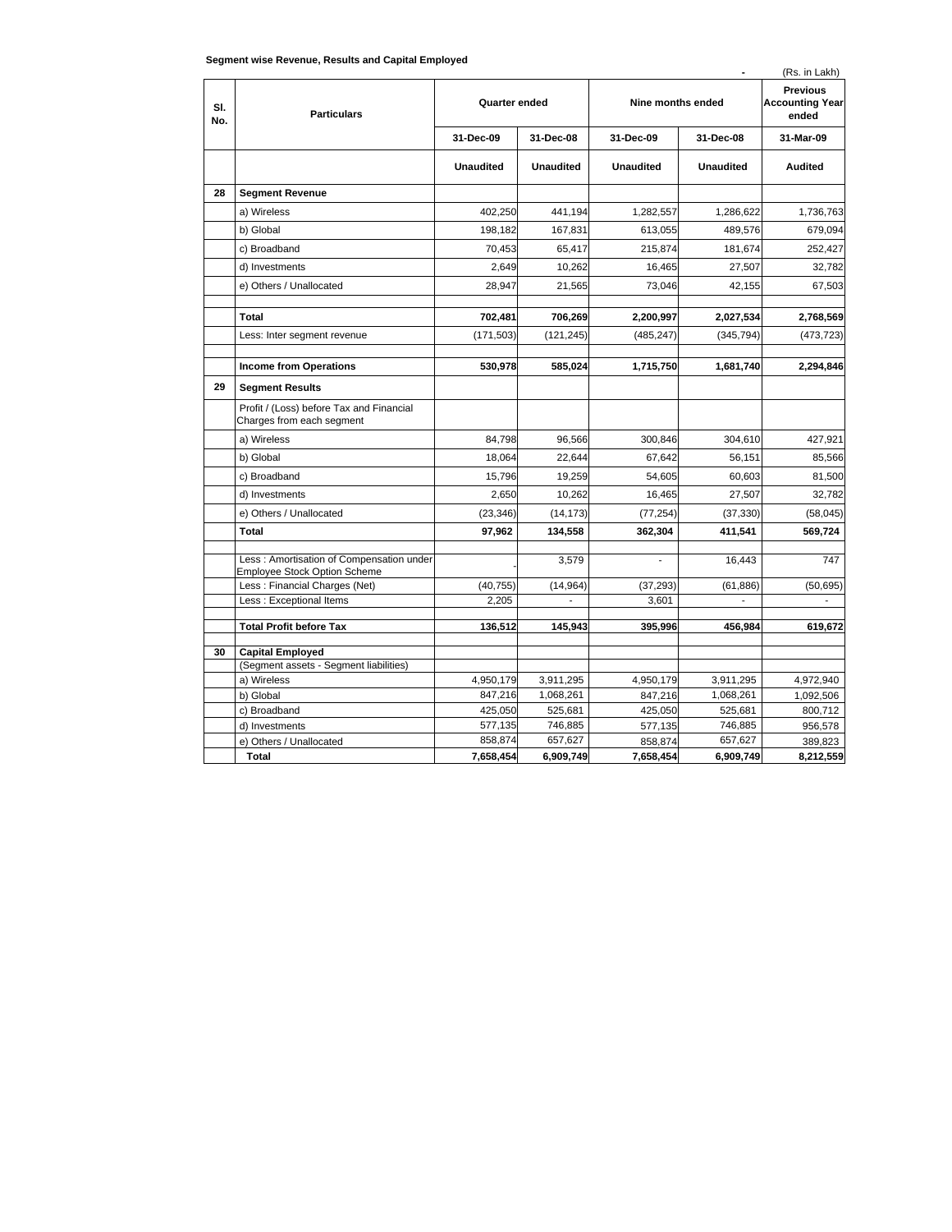| (Rs. in Lakh)<br>$\blacksquare$ |                                                                       |                  |                  |                          |                  |                                                    |  |  |
|---------------------------------|-----------------------------------------------------------------------|------------------|------------------|--------------------------|------------------|----------------------------------------------------|--|--|
| SI.<br>No.                      | <b>Particulars</b>                                                    | Quarter ended    |                  | Nine months ended        |                  | <b>Previous</b><br><b>Accounting Year</b><br>ended |  |  |
|                                 |                                                                       | 31-Dec-09        | 31-Dec-08        | 31-Dec-09                | 31-Dec-08        | 31-Mar-09                                          |  |  |
|                                 |                                                                       | <b>Unaudited</b> | <b>Unaudited</b> | <b>Unaudited</b>         | <b>Unaudited</b> | Audited                                            |  |  |
| 28                              | <b>Segment Revenue</b>                                                |                  |                  |                          |                  |                                                    |  |  |
|                                 | a) Wireless                                                           | 402,250          | 441,194          | 1,282,557                | 1,286,622        | 1,736,763                                          |  |  |
|                                 | b) Global                                                             | 198,182          | 167,831          | 613,055                  | 489,576          | 679,094                                            |  |  |
|                                 | c) Broadband                                                          | 70,453           | 65,417           | 215,874                  | 181,674          | 252,427                                            |  |  |
|                                 | d) Investments                                                        | 2,649            | 10,262           | 16,465                   | 27,507           | 32,782                                             |  |  |
|                                 | e) Others / Unallocated                                               | 28,947           | 21,565           | 73,046                   | 42,155           | 67,503                                             |  |  |
|                                 | Total                                                                 | 702,481          | 706,269          | 2,200,997                | 2,027,534        | 2,768,569                                          |  |  |
|                                 | Less: Inter segment revenue                                           | (171, 503)       | (121, 245)       | (485, 247)               | (345, 794)       | (473, 723)                                         |  |  |
|                                 |                                                                       |                  |                  |                          |                  |                                                    |  |  |
|                                 | <b>Income from Operations</b>                                         | 530,978          | 585,024          | 1,715,750                | 1,681,740        | 2,294,846                                          |  |  |
| 29                              | <b>Segment Results</b>                                                |                  |                  |                          |                  |                                                    |  |  |
|                                 | Profit / (Loss) before Tax and Financial<br>Charges from each segment |                  |                  |                          |                  |                                                    |  |  |
|                                 | a) Wireless                                                           | 84,798           | 96,566           | 300,846                  | 304,610          | 427,921                                            |  |  |
|                                 | b) Global                                                             | 18,064           | 22,644           | 67,642                   | 56.151           | 85,566                                             |  |  |
|                                 | c) Broadband                                                          | 15,796           | 19,259           | 54,605                   | 60.603           | 81,500                                             |  |  |
|                                 | d) Investments                                                        | 2,650            | 10,262           | 16,465                   | 27,507           | 32,782                                             |  |  |
|                                 | e) Others / Unallocated                                               | (23, 346)        | (14, 173)        | (77, 254)                | (37, 330)        | (58, 045)                                          |  |  |
|                                 | <b>Total</b>                                                          | 97,962           | 134,558          | 362,304                  | 411,541          | 569,724                                            |  |  |
|                                 | Less : Amortisation of Compensation under                             |                  | 3,579            | $\overline{\phantom{a}}$ | 16,443           | 747                                                |  |  |
|                                 | <b>Employee Stock Option Scheme</b><br>Less: Financial Charges (Net)  | (40, 755)        | (14, 964)        | (37, 293)                | (61, 886)        | (50, 695)                                          |  |  |
|                                 | Less : Exceptional Items                                              | 2,205            |                  | 3,601                    |                  |                                                    |  |  |
|                                 |                                                                       |                  |                  |                          |                  |                                                    |  |  |
|                                 | <b>Total Profit before Tax</b>                                        | 136,512          | 145,943          | 395,996                  | 456,984          | 619,672                                            |  |  |
| 30                              | <b>Capital Employed</b>                                               |                  |                  |                          |                  |                                                    |  |  |
|                                 | (Segment assets - Segment liabilities)                                |                  |                  |                          |                  |                                                    |  |  |
|                                 | a) Wireless                                                           | 4,950,179        | 3,911,295        | 4,950,179                | 3,911,295        | 4,972,940                                          |  |  |
|                                 | b) Global                                                             | 847,216          | 1,068,261        | 847,216                  | 1,068,261        | 1,092,506                                          |  |  |
|                                 | c) Broadband                                                          | 425,050          | 525,681          | 425,050                  | 525,681          | 800,712                                            |  |  |
|                                 | d) Investments                                                        | 577,135          | 746,885          | 577,135                  | 746,885          | 956,578                                            |  |  |
|                                 | e) Others / Unallocated                                               | 858.874          | 657.627          | 858,874                  | 657.627          | 389,823                                            |  |  |
|                                 | <b>Total</b>                                                          | 7,658,454        | 6,909,749        | 7,658,454                | 6,909,749        | 8,212,559                                          |  |  |

## **Segment wise Revenue, Results and Capital Employed**